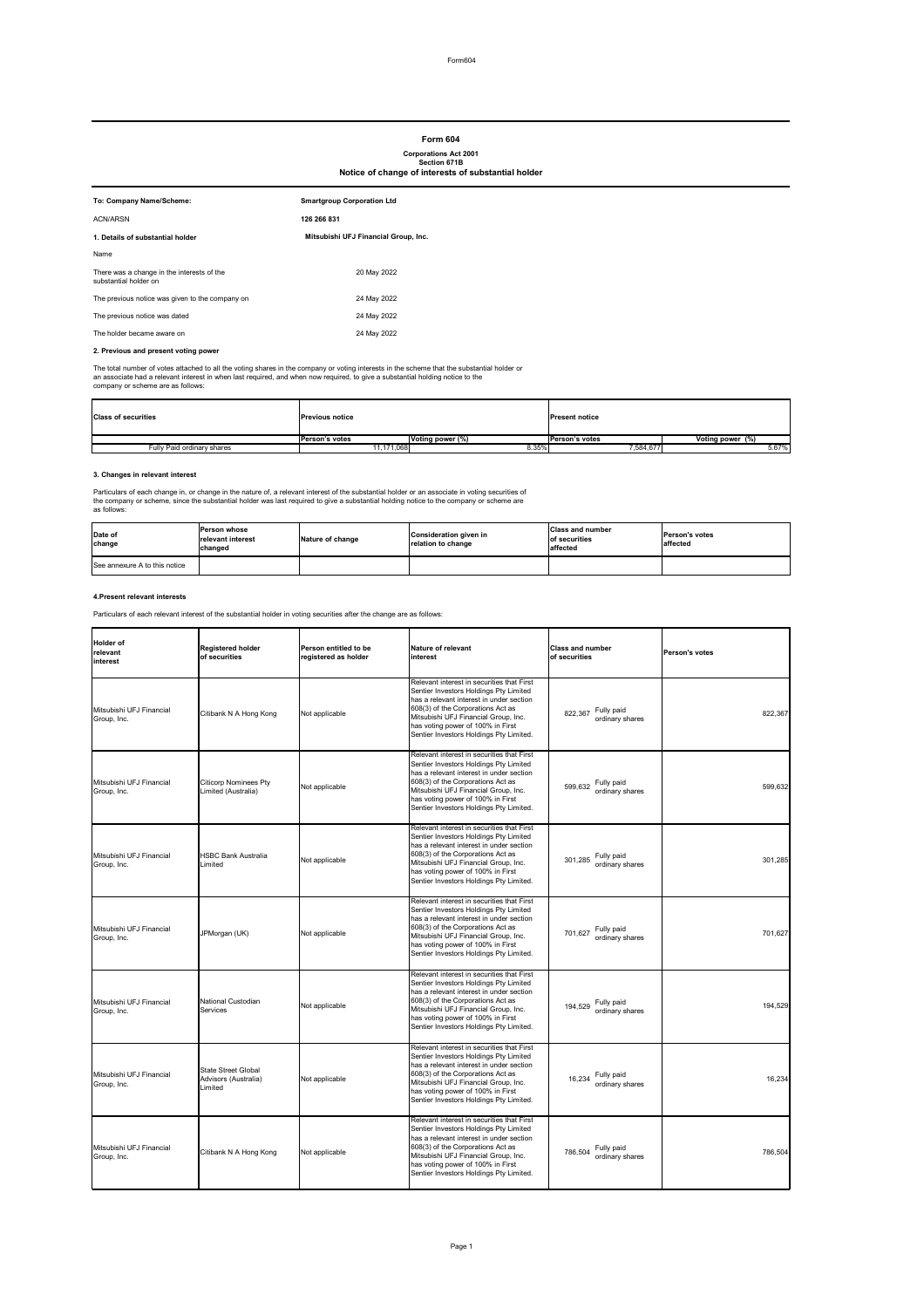#### Form604

# **2. Previous and present voting power**

The total number of votes attached to all the voting shares in the company or voting interests in the scheme that the substantial holder or an associate had a relevant interest in when last required, and when now required, to give a substantial holding notice to the company or scheme are as follows:

# **3. Changes in relevant interest**

Particulars of each change in, or change in the nature of, a relevant interest of the substantial holder or an associate in voting securities of the company or scheme, since the substantial holder was last required to give a substantial holding notice to the company or scheme are as follows:

#### **4.Present relevant interests**

Particulars of each relevant interest of the substantial holder in voting securities after the change are as follows:

| To: Company Name/Scheme:                                            | <b>Smartgroup Corporation Ltd</b>    |  |  |
|---------------------------------------------------------------------|--------------------------------------|--|--|
| <b>ACN/ARSN</b>                                                     | 126 266 831                          |  |  |
| 1. Details of substantial holder                                    | Mitsubishi UFJ Financial Group, Inc. |  |  |
| Name                                                                |                                      |  |  |
| There was a change in the interests of the<br>substantial holder on | 20 May 2022                          |  |  |
| The previous notice was given to the company on                     | 24 May 2022                          |  |  |
| The previous notice was dated                                       | 24 May 2022                          |  |  |
| The holder became aware on                                          | 24 May 2022                          |  |  |

| <b>Class of securities</b> | <b>Previous notice</b> |                  | <b>Present notice</b> |                  |
|----------------------------|------------------------|------------------|-----------------------|------------------|
|                            | <b>Person's votes</b>  | Voting power (%) | <b>Person's votes</b> | Voting power (%) |
| Fully Paid ordinary shares | 171,068                | 8.35%            | 7,584,677             | 5.67%            |

| Holder of<br>relevant<br>interest       | <b>Registered holder</b><br>of securities                     | Person entitled to be<br>registered as holder | Nature of relevant<br>interest                                                                                                                                                                                                                                                                | <b>Class and number</b><br>of securities | <b>Person's votes</b> |
|-----------------------------------------|---------------------------------------------------------------|-----------------------------------------------|-----------------------------------------------------------------------------------------------------------------------------------------------------------------------------------------------------------------------------------------------------------------------------------------------|------------------------------------------|-----------------------|
| Mitsubishi UFJ Financial<br>Group, Inc. | Citibank N A Hong Kong                                        | Not applicable                                | Relevant interest in securities that First<br>Sentier Investors Holdings Pty Limited<br>has a relevant interest in under section<br>608(3) of the Corporations Act as<br>Mitsubishi UFJ Financial Group, Inc.<br>has voting power of 100% in First<br>Sentier Investors Holdings Pty Limited. | Fully paid<br>822,367<br>ordinary shares | 822,367               |
| Mitsubishi UFJ Financial<br>Group, Inc. | <b>Citicorp Nominees Pty</b><br>Limited (Australia)           | Not applicable                                | Relevant interest in securities that First<br>Sentier Investors Holdings Pty Limited<br>has a relevant interest in under section<br>608(3) of the Corporations Act as<br>Mitsubishi UFJ Financial Group, Inc.<br>has voting power of 100% in First<br>Sentier Investors Holdings Pty Limited. | Fully paid<br>599,632<br>ordinary shares | 599,632               |
| Mitsubishi UFJ Financial<br>Group, Inc. | <b>HSBC Bank Australia</b><br>Limited                         | Not applicable                                | Relevant interest in securities that First<br>Sentier Investors Holdings Pty Limited<br>has a relevant interest in under section<br>608(3) of the Corporations Act as<br>Mitsubishi UFJ Financial Group, Inc.<br>has voting power of 100% in First<br>Sentier Investors Holdings Pty Limited. | Fully paid<br>301,285<br>ordinary shares | 301,285               |
| Mitsubishi UFJ Financial<br>Group, Inc. | JPMorgan (UK)                                                 | Not applicable                                | Relevant interest in securities that First<br>Sentier Investors Holdings Pty Limited<br>has a relevant interest in under section<br>608(3) of the Corporations Act as<br>Mitsubishi UFJ Financial Group, Inc.<br>has voting power of 100% in First<br>Sentier Investors Holdings Pty Limited. | Fully paid<br>701,627<br>ordinary shares | 701,627               |
| Mitsubishi UFJ Financial<br>Group, Inc. | National Custodian<br>Services                                | Not applicable                                | Relevant interest in securities that First<br>Sentier Investors Holdings Pty Limited<br>has a relevant interest in under section<br>608(3) of the Corporations Act as<br>Mitsubishi UFJ Financial Group, Inc.<br>has voting power of 100% in First<br>Sentier Investors Holdings Pty Limited. | Fully paid<br>194,529<br>ordinary shares | 194,529               |
| Mitsubishi UFJ Financial<br>Group, Inc. | <b>State Street Global</b><br>Advisors (Australia)<br>Limited | Not applicable                                | Relevant interest in securities that First<br>Sentier Investors Holdings Pty Limited<br>has a relevant interest in under section<br>608(3) of the Corporations Act as<br>Mitsubishi UFJ Financial Group, Inc.<br>has voting power of 100% in First<br>Sentier Investors Holdings Pty Limited. | Fully paid<br>16,234<br>ordinary shares  | 16,234                |
| Mitsubishi UFJ Financial<br>Group, Inc. | Citibank N A Hong Kong                                        | Not applicable                                | Relevant interest in securities that First<br>Sentier Investors Holdings Pty Limited<br>has a relevant interest in under section<br>608(3) of the Corporations Act as<br>Mitsubishi UFJ Financial Group, Inc.<br>has voting power of 100% in First<br>Sentier Investors Holdings Pty Limited. | Fully paid<br>786,504<br>ordinary shares | 786,504               |

| Date of<br>change             | IPerson whose<br>relevant interest<br>changed | Nature of change | Consideration given in<br>relation to change | <b>Class and number</b><br>of securities<br>affected | <b>Person's votes</b><br>affected |
|-------------------------------|-----------------------------------------------|------------------|----------------------------------------------|------------------------------------------------------|-----------------------------------|
| See annexure A to this notice |                                               |                  |                                              |                                                      |                                   |

# **Form 604**

#### **Corporations Act 2001 Section 671B Notice of change of interests of substantial holder**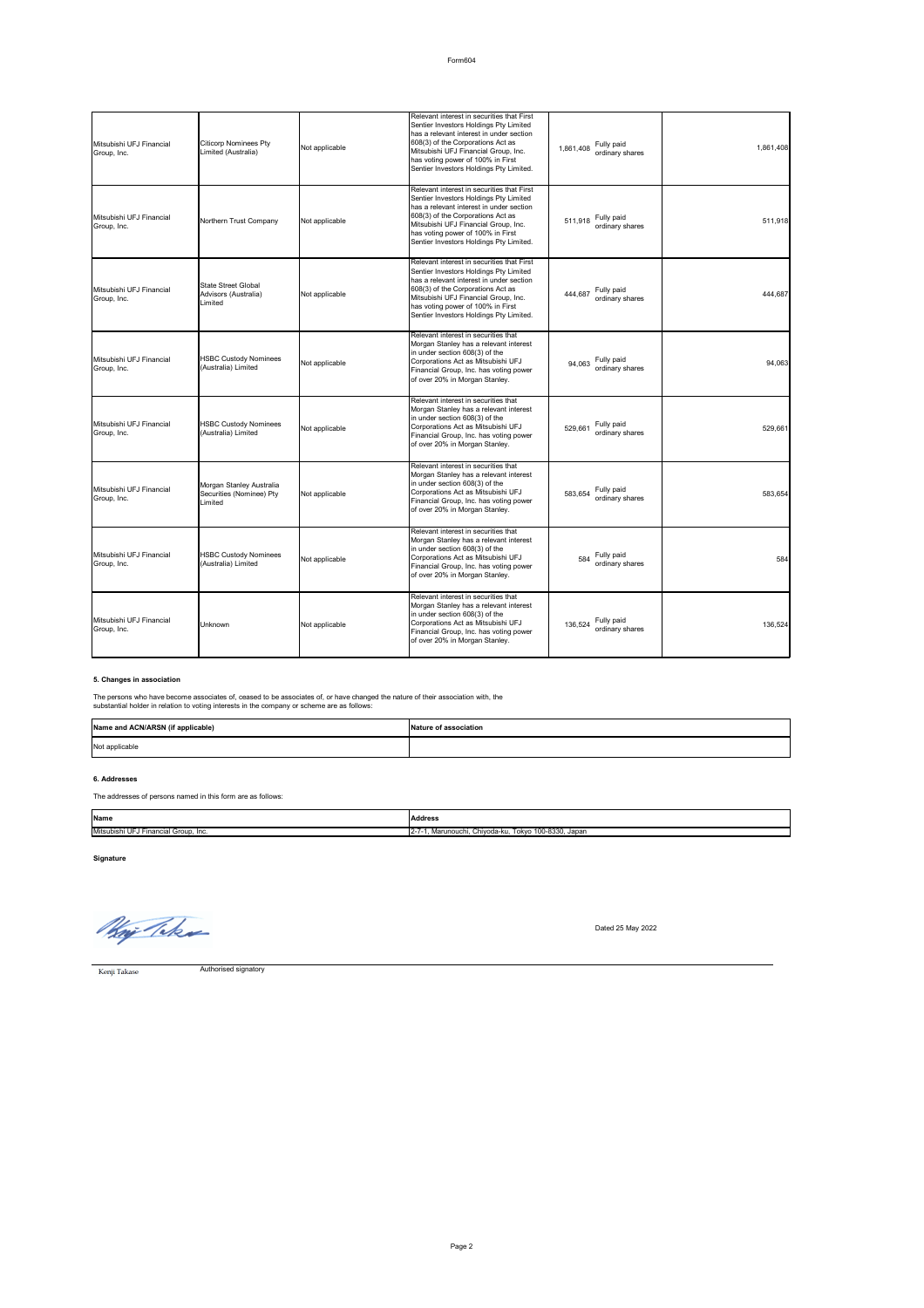| Form <sub>604</sub> |  |
|---------------------|--|
|---------------------|--|

# **5. Changes in association**

The persons who have become associates of, ceased to be associates of, or have changed the nature of their association with, the substantial holder in relation to voting interests in the company or scheme are as follows:

### **6. Addresses**

The addresses of persons named in this form are as follows:

Dated 25 May 2022

Kenji Takase

Authorised signatory

**Signature**

Whip Taker

| Mitsubishi UFJ Financial<br>Group, Inc. | <b>Citicorp Nominees Pty</b><br>Limited (Australia)             | Not applicable | Relevant interest in securities that First<br>Sentier Investors Holdings Pty Limited<br>has a relevant interest in under section<br>608(3) of the Corporations Act as<br>Mitsubishi UFJ Financial Group, Inc.                                                                                 | 1,861,408 Fully paid<br>ordinary shares  | 1,861,408 |
|-----------------------------------------|-----------------------------------------------------------------|----------------|-----------------------------------------------------------------------------------------------------------------------------------------------------------------------------------------------------------------------------------------------------------------------------------------------|------------------------------------------|-----------|
|                                         |                                                                 |                | has voting power of 100% in First<br>Sentier Investors Holdings Pty Limited.                                                                                                                                                                                                                  |                                          |           |
| Mitsubishi UFJ Financial<br>Group, Inc. | Northern Trust Company                                          | Not applicable | Relevant interest in securities that First<br>Sentier Investors Holdings Pty Limited<br>has a relevant interest in under section<br>608(3) of the Corporations Act as<br>Mitsubishi UFJ Financial Group, Inc.<br>has voting power of 100% in First<br>Sentier Investors Holdings Pty Limited. | 511,918 Fully paid<br>ordinary shares    | 511,918   |
| Mitsubishi UFJ Financial<br>Group, Inc. | <b>State Street Global</b><br>Advisors (Australia)<br>Limited   | Not applicable | Relevant interest in securities that First<br>Sentier Investors Holdings Pty Limited<br>has a relevant interest in under section<br>608(3) of the Corporations Act as<br>Mitsubishi UFJ Financial Group, Inc.<br>has voting power of 100% in First<br>Sentier Investors Holdings Pty Limited. | Fully paid<br>444,687<br>ordinary shares | 444,687   |
| Mitsubishi UFJ Financial<br>Group, Inc. | <b>HSBC Custody Nominees</b><br>(Australia) Limited             | Not applicable | Relevant interest in securities that<br>Morgan Stanley has a relevant interest<br>in under section 608(3) of the<br>Corporations Act as Mitsubishi UFJ<br>Financial Group, Inc. has voting power<br>of over 20% in Morgan Stanley.                                                            | Fully paid<br>94,063<br>ordinary shares  | 94,063    |
| Mitsubishi UFJ Financial<br>Group, Inc. | <b>HSBC Custody Nominees</b><br>(Australia) Limited             | Not applicable | Relevant interest in securities that<br>Morgan Stanley has a relevant interest<br>in under section 608(3) of the<br>Corporations Act as Mitsubishi UFJ<br>Financial Group, Inc. has voting power<br>of over 20% in Morgan Stanley.                                                            | Fully paid<br>529,661<br>ordinary shares | 529,661   |
| Mitsubishi UFJ Financial<br>Group, Inc. | Morgan Stanley Australia<br>Securities (Nominee) Pty<br>Limited | Not applicable | Relevant interest in securities that<br>Morgan Stanley has a relevant interest<br>in under section 608(3) of the<br>Corporations Act as Mitsubishi UFJ<br>Financial Group, Inc. has voting power<br>of over 20% in Morgan Stanley.                                                            | Fully paid<br>583,654<br>ordinary shares | 583,654   |
| Mitsubishi UFJ Financial<br>Group, Inc. | <b>HSBC Custody Nominees</b><br>(Australia) Limited             | Not applicable | Relevant interest in securities that<br>Morgan Stanley has a relevant interest<br>in under section 608(3) of the<br>Corporations Act as Mitsubishi UFJ<br>Financial Group, Inc. has voting power<br>of over 20% in Morgan Stanley.                                                            | Fully paid<br>584<br>ordinary shares     | 584       |
| Mitsubishi UFJ Financial<br>Group, Inc. | Unknown                                                         | Not applicable | Relevant interest in securities that<br>Morgan Stanley has a relevant interest<br>in under section 608(3) of the<br>Corporations Act as Mitsubishi UFJ<br>Financial Group, Inc. has voting power<br>of over 20% in Morgan Stanley.                                                            | Fully paid<br>136,524<br>ordinary shares | 136,524   |

| Name and ACN/ARSN (if applicable) | Nature of association |
|-----------------------------------|-----------------------|
| Not applicable                    |                       |

| Name                                                           | Address                                                                                                                                              |
|----------------------------------------------------------------|------------------------------------------------------------------------------------------------------------------------------------------------------|
| <b>Mitsubis</b><br>Group<br>Linanaia<br>. Inc.<br>niar<br>ныаі | $^{\prime}$ ባ0-83 $\overline{30}$ , Japan<br>. Chivoda<br><sup>1</sup> Marunouch <sub>1</sub> ,<br>Tokvo<br>.<br>$\mathbb{Z}$ – $\mathbb{Z}$<br>1-KL |

|  | r 20% in Morgan Stanlev.<br>lot over |  |
|--|--------------------------------------|--|
|  |                                      |  |
|  |                                      |  |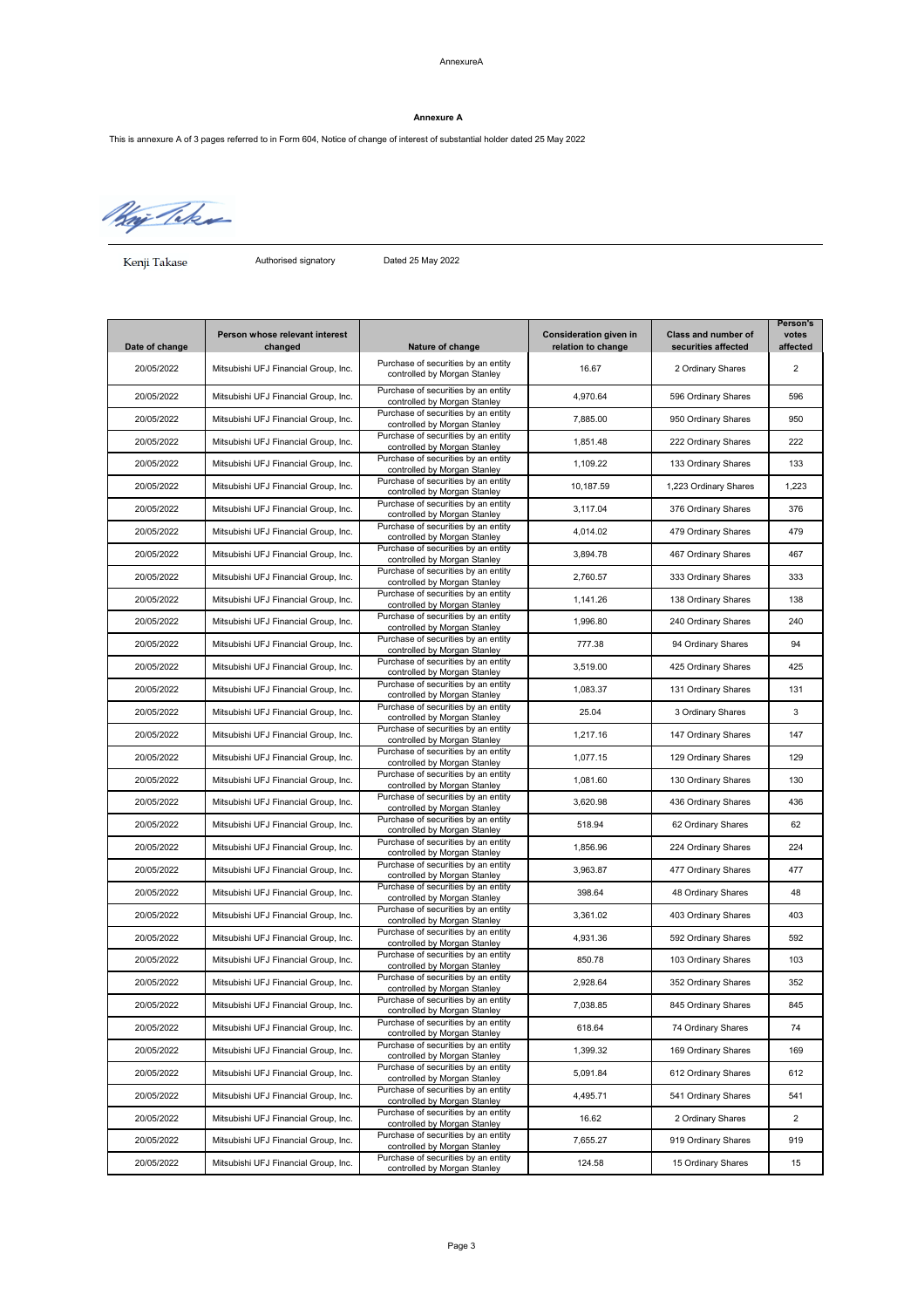#### AnnexureA

This is annexure A of 3 pages referred to in Form 604, Notice of change of interest of substantial holder dated 25 May 2022

Hay Take

Kenji Takase

Authorised signatory Dated 25 May 2022

| Date of change | Person whose relevant interest<br>changed | Nature of change                                                    | <b>Consideration given in</b><br>relation to change | <b>Class and number of</b><br>securities affected | <b>Person's</b><br>votes<br>affected |
|----------------|-------------------------------------------|---------------------------------------------------------------------|-----------------------------------------------------|---------------------------------------------------|--------------------------------------|
| 20/05/2022     | Mitsubishi UFJ Financial Group, Inc.      | Purchase of securities by an entity<br>controlled by Morgan Stanley | 16.67                                               | 2 Ordinary Shares                                 | $\overline{2}$                       |
| 20/05/2022     | Mitsubishi UFJ Financial Group, Inc.      | Purchase of securities by an entity<br>controlled by Morgan Stanley | 4,970.64                                            | 596 Ordinary Shares                               | 596                                  |
| 20/05/2022     | Mitsubishi UFJ Financial Group, Inc.      | Purchase of securities by an entity<br>controlled by Morgan Stanley | 7,885.00                                            | 950 Ordinary Shares                               | 950                                  |
| 20/05/2022     | Mitsubishi UFJ Financial Group, Inc.      | Purchase of securities by an entity<br>controlled by Morgan Stanley | 1,851.48                                            | 222 Ordinary Shares                               | 222                                  |
| 20/05/2022     | Mitsubishi UFJ Financial Group, Inc.      | Purchase of securities by an entity<br>controlled by Morgan Stanley | 1,109.22                                            | 133 Ordinary Shares                               | 133                                  |
| 20/05/2022     | Mitsubishi UFJ Financial Group, Inc.      | Purchase of securities by an entity<br>controlled by Morgan Stanley | 10,187.59                                           | 1,223 Ordinary Shares                             | 1,223                                |
| 20/05/2022     | Mitsubishi UFJ Financial Group, Inc.      | Purchase of securities by an entity<br>controlled by Morgan Stanley | 3,117.04                                            | 376 Ordinary Shares                               | 376                                  |
| 20/05/2022     | Mitsubishi UFJ Financial Group, Inc.      | Purchase of securities by an entity<br>controlled by Morgan Stanley | 4,014.02                                            | 479 Ordinary Shares                               | 479                                  |
| 20/05/2022     | Mitsubishi UFJ Financial Group, Inc.      | Purchase of securities by an entity<br>controlled by Morgan Stanley | 3,894.78                                            | 467 Ordinary Shares                               | 467                                  |
| 20/05/2022     | Mitsubishi UFJ Financial Group, Inc.      | Purchase of securities by an entity<br>controlled by Morgan Stanley | 2,760.57                                            | 333 Ordinary Shares                               | 333                                  |
| 20/05/2022     | Mitsubishi UFJ Financial Group, Inc.      | Purchase of securities by an entity<br>controlled by Morgan Stanley | 1,141.26                                            | 138 Ordinary Shares                               | 138                                  |
| 20/05/2022     | Mitsubishi UFJ Financial Group, Inc.      | Purchase of securities by an entity<br>controlled by Morgan Stanley | 1,996.80                                            | 240 Ordinary Shares                               | 240                                  |
| 20/05/2022     | Mitsubishi UFJ Financial Group, Inc.      | Purchase of securities by an entity<br>controlled by Morgan Stanley | 777.38                                              | 94 Ordinary Shares                                | 94                                   |
| 20/05/2022     | Mitsubishi UFJ Financial Group, Inc.      | Purchase of securities by an entity<br>controlled by Morgan Stanley | 3,519.00                                            | 425 Ordinary Shares                               | 425                                  |
| 20/05/2022     | Mitsubishi UFJ Financial Group, Inc.      | Purchase of securities by an entity<br>controlled by Morgan Stanley | 1,083.37                                            | 131 Ordinary Shares                               | 131                                  |
| 20/05/2022     | Mitsubishi UFJ Financial Group, Inc.      | Purchase of securities by an entity<br>controlled by Morgan Stanley | 25.04                                               | 3 Ordinary Shares                                 | 3                                    |
| 20/05/2022     | Mitsubishi UFJ Financial Group, Inc.      | Purchase of securities by an entity<br>controlled by Morgan Stanley | 1,217.16                                            | 147 Ordinary Shares                               | 147                                  |
| 20/05/2022     | Mitsubishi UFJ Financial Group, Inc.      | Purchase of securities by an entity<br>controlled by Morgan Stanley | 1,077.15                                            | 129 Ordinary Shares                               | 129                                  |
| 20/05/2022     | Mitsubishi UFJ Financial Group, Inc.      | Purchase of securities by an entity<br>controlled by Morgan Stanley | 1,081.60                                            | 130 Ordinary Shares                               | 130                                  |
| 20/05/2022     | Mitsubishi UFJ Financial Group, Inc.      | Purchase of securities by an entity<br>controlled by Morgan Stanley | 3,620.98                                            | 436 Ordinary Shares                               | 436                                  |
| 20/05/2022     | Mitsubishi UFJ Financial Group, Inc.      | Purchase of securities by an entity                                 | 518.94                                              | 62 Ordinary Shares                                | 62                                   |
| 20/05/2022     | Mitsubishi UFJ Financial Group, Inc.      | controlled by Morgan Stanley<br>Purchase of securities by an entity | 1,856.96                                            | 224 Ordinary Shares                               | 224                                  |
| 20/05/2022     | Mitsubishi UFJ Financial Group, Inc.      | controlled by Morgan Stanley<br>Purchase of securities by an entity | 3,963.87                                            | 477 Ordinary Shares                               | 477                                  |
| 20/05/2022     | Mitsubishi UFJ Financial Group, Inc.      | controlled by Morgan Stanley<br>Purchase of securities by an entity | 398.64                                              | 48 Ordinary Shares                                | 48                                   |
| 20/05/2022     | Mitsubishi UFJ Financial Group, Inc.      | controlled by Morgan Stanley<br>Purchase of securities by an entity | 3,361.02                                            | 403 Ordinary Shares                               | 403                                  |
| 20/05/2022     | Mitsubishi UFJ Financial Group, Inc.      | controlled by Morgan Stanley<br>Purchase of securities by an entity | 4,931.36                                            | 592 Ordinary Shares                               | 592                                  |
| 20/05/2022     | Mitsubishi UFJ Financial Group, Inc.      | controlled by Morgan Stanley<br>Purchase of securities by an entity | 850.78                                              | 103 Ordinary Shares                               | 103                                  |
| 20/05/2022     | Mitsubishi UFJ Financial Group, Inc.      | controlled by Morgan Stanley<br>Purchase of securities by an entity | 2,928.64                                            | 352 Ordinary Shares                               | 352                                  |
| 20/05/2022     | Mitsubishi UFJ Financial Group, Inc.      | controlled by Morgan Stanley<br>Purchase of securities by an entity | 7,038.85                                            | 845 Ordinary Shares                               | 845                                  |
| 20/05/2022     | Mitsubishi UFJ Financial Group, Inc.      | controlled by Morgan Stanley<br>Purchase of securities by an entity | 618.64                                              | 74 Ordinary Shares                                | 74                                   |
| 20/05/2022     | Mitsubishi UFJ Financial Group, Inc.      | controlled by Morgan Stanley<br>Purchase of securities by an entity | 1,399.32                                            | 169 Ordinary Shares                               | 169                                  |
| 20/05/2022     | Mitsubishi UFJ Financial Group, Inc.      | controlled by Morgan Stanley<br>Purchase of securities by an entity | 5,091.84                                            | 612 Ordinary Shares                               | 612                                  |
| 20/05/2022     | Mitsubishi UFJ Financial Group, Inc.      | controlled by Morgan Stanley<br>Purchase of securities by an entity | 4,495.71                                            | 541 Ordinary Shares                               | 541                                  |
| 20/05/2022     | Mitsubishi UFJ Financial Group, Inc.      | controlled by Morgan Stanley<br>Purchase of securities by an entity | 16.62                                               | 2 Ordinary Shares                                 | $2^{\circ}$                          |
| 20/05/2022     | Mitsubishi UFJ Financial Group, Inc.      | controlled by Morgan Stanley<br>Purchase of securities by an entity | 7,655.27                                            | 919 Ordinary Shares                               | 919                                  |
| 20/05/2022     | Mitsubishi UFJ Financial Group, Inc.      | controlled by Morgan Stanley<br>Purchase of securities by an entity | 124.58                                              | 15 Ordinary Shares                                | 15                                   |
|                |                                           | controlled by Morgan Stanley                                        |                                                     |                                                   |                                      |

#### **Annexure A**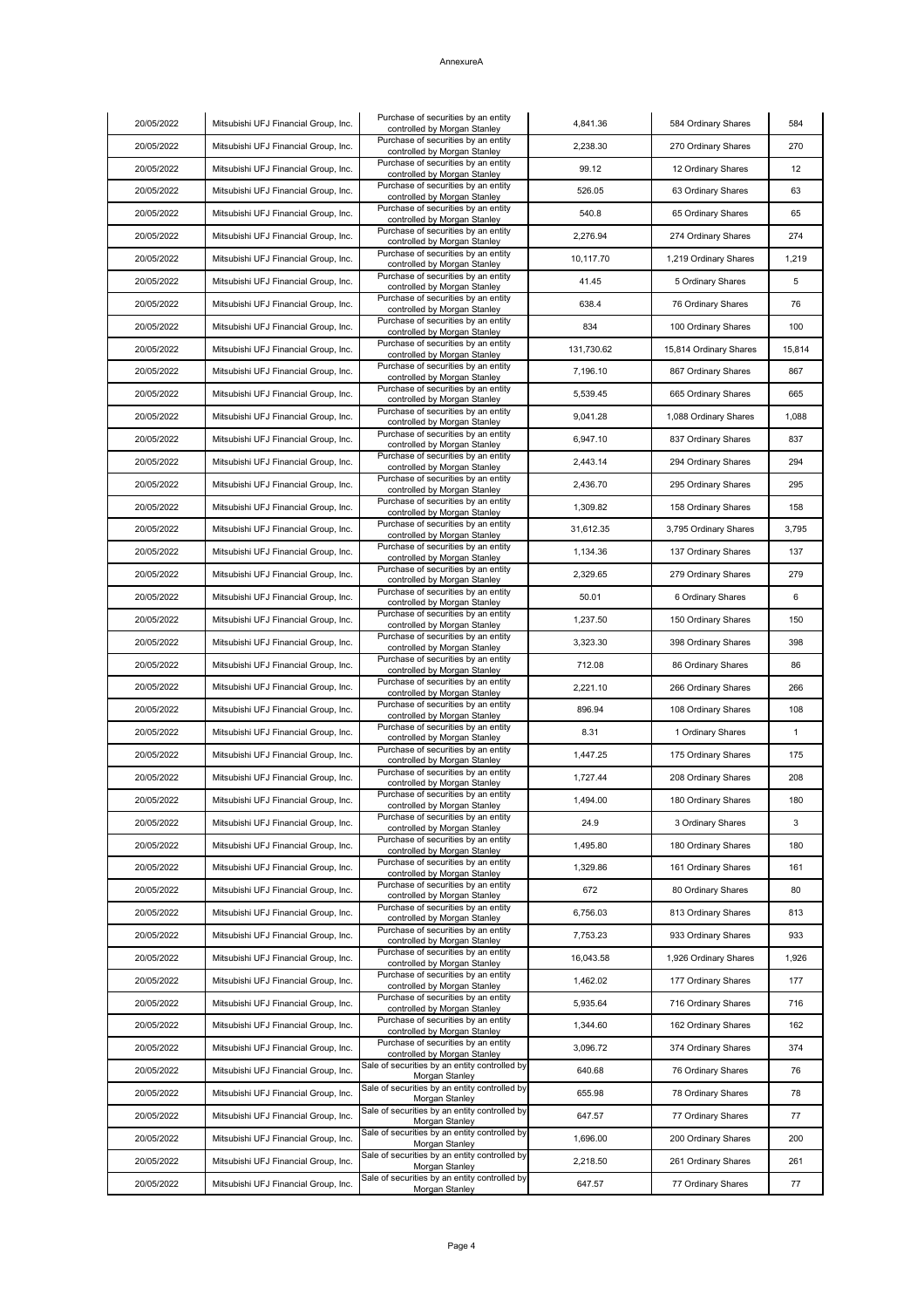#### AnnexureA

| 20/05/2022 | Mitsubishi UFJ Financial Group, Inc. | Purchase of securities by an entity<br>controlled by Morgan Stanley | 4,841.36   | 584 Ordinary Shares    | 584    |
|------------|--------------------------------------|---------------------------------------------------------------------|------------|------------------------|--------|
| 20/05/2022 | Mitsubishi UFJ Financial Group, Inc. | Purchase of securities by an entity<br>controlled by Morgan Stanley | 2,238.30   | 270 Ordinary Shares    | 270    |
| 20/05/2022 | Mitsubishi UFJ Financial Group, Inc. | Purchase of securities by an entity<br>controlled by Morgan Stanley | 99.12      | 12 Ordinary Shares     | 12     |
| 20/05/2022 | Mitsubishi UFJ Financial Group, Inc. | Purchase of securities by an entity<br>controlled by Morgan Stanley | 526.05     | 63 Ordinary Shares     | 63     |
| 20/05/2022 | Mitsubishi UFJ Financial Group, Inc. | Purchase of securities by an entity<br>controlled by Morgan Stanley | 540.8      | 65 Ordinary Shares     | 65     |
| 20/05/2022 | Mitsubishi UFJ Financial Group, Inc. | Purchase of securities by an entity<br>controlled by Morgan Stanley | 2,276.94   | 274 Ordinary Shares    | 274    |
| 20/05/2022 | Mitsubishi UFJ Financial Group, Inc. | Purchase of securities by an entity<br>controlled by Morgan Stanley | 10,117.70  | 1,219 Ordinary Shares  | 1,219  |
| 20/05/2022 | Mitsubishi UFJ Financial Group, Inc. | Purchase of securities by an entity<br>controlled by Morgan Stanley | 41.45      | 5 Ordinary Shares      | 5      |
| 20/05/2022 | Mitsubishi UFJ Financial Group, Inc. | Purchase of securities by an entity<br>controlled by Morgan Stanley | 638.4      | 76 Ordinary Shares     | 76     |
| 20/05/2022 | Mitsubishi UFJ Financial Group, Inc. | Purchase of securities by an entity<br>controlled by Morgan Stanley | 834        | 100 Ordinary Shares    | 100    |
| 20/05/2022 | Mitsubishi UFJ Financial Group, Inc. | Purchase of securities by an entity<br>controlled by Morgan Stanley | 131,730.62 | 15,814 Ordinary Shares | 15,814 |
| 20/05/2022 | Mitsubishi UFJ Financial Group, Inc. | Purchase of securities by an entity<br>controlled by Morgan Stanley | 7,196.10   | 867 Ordinary Shares    | 867    |
| 20/05/2022 | Mitsubishi UFJ Financial Group, Inc. | Purchase of securities by an entity<br>controlled by Morgan Stanley | 5,539.45   | 665 Ordinary Shares    | 665    |
| 20/05/2022 | Mitsubishi UFJ Financial Group, Inc. | Purchase of securities by an entity<br>controlled by Morgan Stanley | 9,041.28   | 1,088 Ordinary Shares  | 1,088  |
| 20/05/2022 | Mitsubishi UFJ Financial Group, Inc. | Purchase of securities by an entity<br>controlled by Morgan Stanley | 6,947.10   | 837 Ordinary Shares    | 837    |
| 20/05/2022 | Mitsubishi UFJ Financial Group, Inc. | Purchase of securities by an entity<br>controlled by Morgan Stanley | 2,443.14   | 294 Ordinary Shares    | 294    |
| 20/05/2022 | Mitsubishi UFJ Financial Group, Inc. | Purchase of securities by an entity<br>controlled by Morgan Stanley | 2,436.70   | 295 Ordinary Shares    | 295    |
| 20/05/2022 | Mitsubishi UFJ Financial Group, Inc. | Purchase of securities by an entity<br>controlled by Morgan Stanley | 1,309.82   | 158 Ordinary Shares    | 158    |
| 20/05/2022 | Mitsubishi UFJ Financial Group, Inc. | Purchase of securities by an entity<br>controlled by Morgan Stanley | 31,612.35  | 3,795 Ordinary Shares  | 3,795  |
| 20/05/2022 | Mitsubishi UFJ Financial Group, Inc. | Purchase of securities by an entity<br>controlled by Morgan Stanley | 1,134.36   | 137 Ordinary Shares    | 137    |
| 20/05/2022 | Mitsubishi UFJ Financial Group, Inc. | Purchase of securities by an entity<br>controlled by Morgan Stanley | 2,329.65   | 279 Ordinary Shares    | 279    |
| 20/05/2022 | Mitsubishi UFJ Financial Group, Inc. | Purchase of securities by an entity<br>controlled by Morgan Stanley | 50.01      | 6 Ordinary Shares      | 6      |
| 20/05/2022 | Mitsubishi UFJ Financial Group, Inc. | Purchase of securities by an entity<br>controlled by Morgan Stanley | 1,237.50   | 150 Ordinary Shares    | 150    |
| 20/05/2022 | Mitsubishi UFJ Financial Group, Inc. | Purchase of securities by an entity<br>controlled by Morgan Stanley | 3,323.30   | 398 Ordinary Shares    | 398    |
| 20/05/2022 | Mitsubishi UFJ Financial Group, Inc. | Purchase of securities by an entity<br>controlled by Morgan Stanley | 712.08     | 86 Ordinary Shares     | 86     |
| 20/05/2022 | Mitsubishi UFJ Financial Group, Inc. | Purchase of securities by an entity<br>controlled by Morgan Stanley | 2,221.10   | 266 Ordinary Shares    | 266    |
| 20/05/2022 | Mitsubishi UFJ Financial Group, Inc. | Purchase of securities by an entity<br>controlled by Morgan Stanley | 896.94     | 108 Ordinary Shares    | 108    |
| 20/05/2022 | Mitsubishi UFJ Financial Group, Inc. | Purchase of securities by an entity<br>controlled by Morgan Stanley | 8.31       | 1 Ordinary Shares      | 1      |
| 20/05/2022 | Mitsubishi UFJ Financial Group, Inc. | Purchase of securities by an entity<br>controlled by Morgan Stanley | 1,447.25   | 175 Ordinary Shares    | 175    |
| 20/05/2022 | Mitsubishi UFJ Financial Group, Inc. | Purchase of securities by an entity<br>controlled by Morgan Stanley | 1,727.44   | 208 Ordinary Shares    | 208    |
| 20/05/2022 | Mitsubishi UFJ Financial Group, Inc. | Purchase of securities by an entity<br>controlled by Morgan Stanley | 1,494.00   | 180 Ordinary Shares    | 180    |
| 20/05/2022 | Mitsubishi UFJ Financial Group, Inc. | Purchase of securities by an entity<br>controlled by Morgan Stanley | 24.9       | 3 Ordinary Shares      | 3      |
| 20/05/2022 | Mitsubishi UFJ Financial Group, Inc. | Purchase of securities by an entity<br>controlled by Morgan Stanley | 1,495.80   | 180 Ordinary Shares    | 180    |
| 20/05/2022 | Mitsubishi UFJ Financial Group, Inc. | Purchase of securities by an entity<br>controlled by Morgan Stanley | 1,329.86   | 161 Ordinary Shares    | 161    |
| 20/05/2022 | Mitsubishi UFJ Financial Group, Inc. | Purchase of securities by an entity<br>controlled by Morgan Stanley | 672        | 80 Ordinary Shares     | 80     |
| 20/05/2022 | Mitsubishi UFJ Financial Group, Inc. | Purchase of securities by an entity<br>controlled by Morgan Stanley | 6,756.03   | 813 Ordinary Shares    | 813    |
| 20/05/2022 | Mitsubishi UFJ Financial Group, Inc. | Purchase of securities by an entity<br>controlled by Morgan Stanley | 7,753.23   | 933 Ordinary Shares    | 933    |
| 20/05/2022 | Mitsubishi UFJ Financial Group, Inc. | Purchase of securities by an entity<br>controlled by Morgan Stanley | 16,043.58  | 1,926 Ordinary Shares  | 1,926  |
| 20/05/2022 | Mitsubishi UFJ Financial Group, Inc. | Purchase of securities by an entity<br>controlled by Morgan Stanley | 1,462.02   | 177 Ordinary Shares    | 177    |
| 20/05/2022 | Mitsubishi UFJ Financial Group, Inc. | Purchase of securities by an entity<br>controlled by Morgan Stanley | 5,935.64   | 716 Ordinary Shares    | 716    |
| 20/05/2022 | Mitsubishi UFJ Financial Group, Inc. | Purchase of securities by an entity<br>controlled by Morgan Stanley | 1,344.60   | 162 Ordinary Shares    | 162    |
| 20/05/2022 | Mitsubishi UFJ Financial Group, Inc. | Purchase of securities by an entity<br>controlled by Morgan Stanley | 3,096.72   | 374 Ordinary Shares    | 374    |
| 20/05/2022 | Mitsubishi UFJ Financial Group, Inc. | Sale of securities by an entity controlled by<br>Morgan Stanley     | 640.68     | 76 Ordinary Shares     | 76     |
| 20/05/2022 | Mitsubishi UFJ Financial Group, Inc. | Sale of securities by an entity controlled by<br>Morgan Stanley     | 655.98     | 78 Ordinary Shares     | 78     |
| 20/05/2022 | Mitsubishi UFJ Financial Group, Inc. | Sale of securities by an entity controlled by<br>Morgan Stanley     | 647.57     | 77 Ordinary Shares     | 77     |
| 20/05/2022 | Mitsubishi UFJ Financial Group, Inc. | Sale of securities by an entity controlled by<br>Morgan Stanley     | 1,696.00   | 200 Ordinary Shares    | 200    |
| 20/05/2022 | Mitsubishi UFJ Financial Group, Inc. | Sale of securities by an entity controlled by<br>Morgan Stanley     | 2,218.50   | 261 Ordinary Shares    | 261    |
| 20/05/2022 | Mitsubishi UFJ Financial Group, Inc. | Sale of securities by an entity controlled by<br>Morgan Stanley     | 647.57     | 77 Ordinary Shares     | 77     |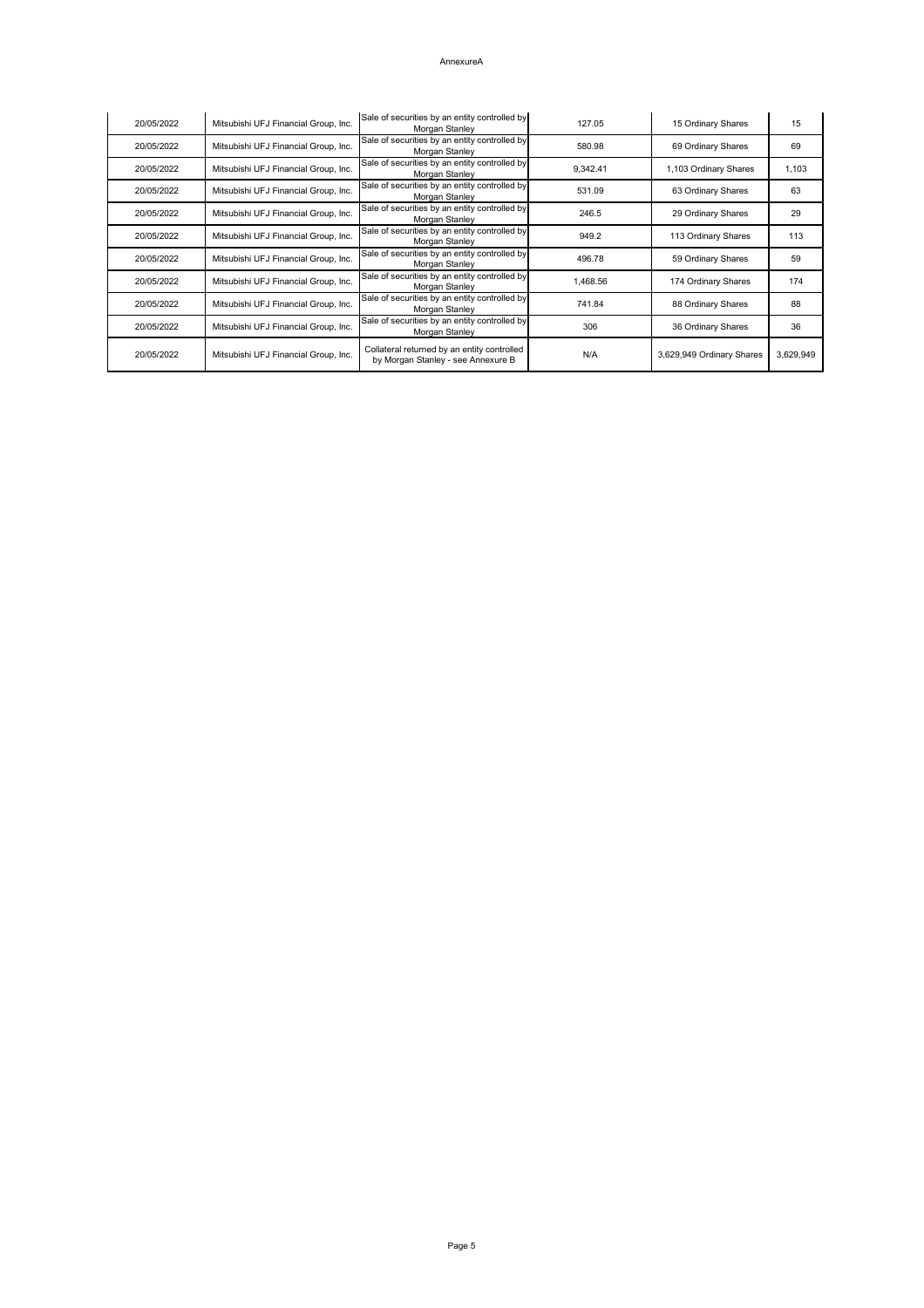#### AnnexureA

| 20/05/2022 | Mitsubishi UFJ Financial Group, Inc. | Sale of securities by an entity controlled by<br>Morgan Stanley                   | 127.05   | 15 Ordinary Shares        | 15        |
|------------|--------------------------------------|-----------------------------------------------------------------------------------|----------|---------------------------|-----------|
| 20/05/2022 | Mitsubishi UFJ Financial Group, Inc. | Sale of securities by an entity controlled by<br>Morgan Stanley                   | 580.98   | 69 Ordinary Shares        | 69        |
| 20/05/2022 | Mitsubishi UFJ Financial Group, Inc. | Sale of securities by an entity controlled by<br>Morgan Stanley                   | 9,342.41 | 1,103 Ordinary Shares     | 1,103     |
| 20/05/2022 | Mitsubishi UFJ Financial Group, Inc. | Sale of securities by an entity controlled by<br>Morgan Stanley                   | 531.09   | 63 Ordinary Shares        | 63        |
| 20/05/2022 | Mitsubishi UFJ Financial Group, Inc. | Sale of securities by an entity controlled by<br>Morgan Stanley                   | 246.5    | 29 Ordinary Shares        | 29        |
| 20/05/2022 | Mitsubishi UFJ Financial Group, Inc. | Sale of securities by an entity controlled by<br>Morgan Stanley                   | 949.2    | 113 Ordinary Shares       | 113       |
| 20/05/2022 | Mitsubishi UFJ Financial Group, Inc. | Sale of securities by an entity controlled by<br>Morgan Stanley                   | 496.78   | 59 Ordinary Shares        | 59        |
| 20/05/2022 | Mitsubishi UFJ Financial Group, Inc. | Sale of securities by an entity controlled by<br>Morgan Stanley                   | 1,468.56 | 174 Ordinary Shares       | 174       |
| 20/05/2022 | Mitsubishi UFJ Financial Group, Inc. | Sale of securities by an entity controlled by<br>Morgan Stanley                   | 741.84   | 88 Ordinary Shares        | 88        |
| 20/05/2022 | Mitsubishi UFJ Financial Group, Inc. | Sale of securities by an entity controlled by<br>Morgan Stanley                   | 306      | 36 Ordinary Shares        | 36        |
| 20/05/2022 | Mitsubishi UFJ Financial Group, Inc. | Collateral returned by an entity controlled<br>by Morgan Stanley - see Annexure B | N/A      | 3,629,949 Ordinary Shares | 3,629,949 |